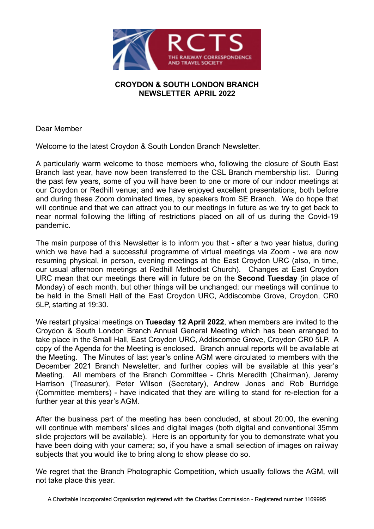

## **CROYDON & SOUTH LONDON BRANCH NEWSLETTER APRIL 2022**

Dear Member

Welcome to the latest Croydon & South London Branch Newsletter.

A particularly warm welcome to those members who, following the closure of South East Branch last year, have now been transferred to the CSL Branch membership list. During the past few years, some of you will have been to one or more of our indoor meetings at our Croydon or Redhill venue; and we have enjoyed excellent presentations, both before and during these Zoom dominated times, by speakers from SE Branch. We do hope that will continue and that we can attract you to our meetings in future as we try to get back to near normal following the lifting of restrictions placed on all of us during the Covid-19 pandemic.

The main purpose of this Newsletter is to inform you that - after a two year hiatus, during which we have had a successful programme of virtual meetings via Zoom - we are now resuming physical, in person, evening meetings at the East Croydon URC (also, in time, our usual afternoon meetings at Redhill Methodist Church). Changes at East Croydon URC mean that our meetings there will in future be on the **Second Tuesday** (in place of Monday) of each month, but other things will be unchanged: our meetings will continue to be held in the Small Hall of the East Croydon URC, Addiscombe Grove, Croydon, CR0 5LP, starting at 19:30.

We restart physical meetings on **Tuesday 12 April 2022**, when members are invited to the Croydon & South London Branch Annual General Meeting which has been arranged to take place in the Small Hall, East Croydon URC, Addiscombe Grove, Croydon CR0 5LP. A copy of the Agenda for the Meeting is enclosed. Branch annual reports will be available at the Meeting. The Minutes of last year's online AGM were circulated to members with the December 2021 Branch Newsletter, and further copies will be available at this year's Meeting. All members of the Branch Committee - Chris Meredith (Chairman), Jeremy Harrison (Treasurer), Peter Wilson (Secretary), Andrew Jones and Rob Burridge (Committee members) - have indicated that they are willing to stand for re-election for a further year at this year's AGM.  

After the business part of the meeting has been concluded, at about 20:00, the evening will continue with members' slides and digital images (both digital and conventional 35mm slide projectors will be available). Here is an opportunity for you to demonstrate what you have been doing with your camera; so, if you have a small selection of images on railway subjects that you would like to bring along to show please do so.

We regret that the Branch Photographic Competition, which usually follows the AGM, will not take place this year.